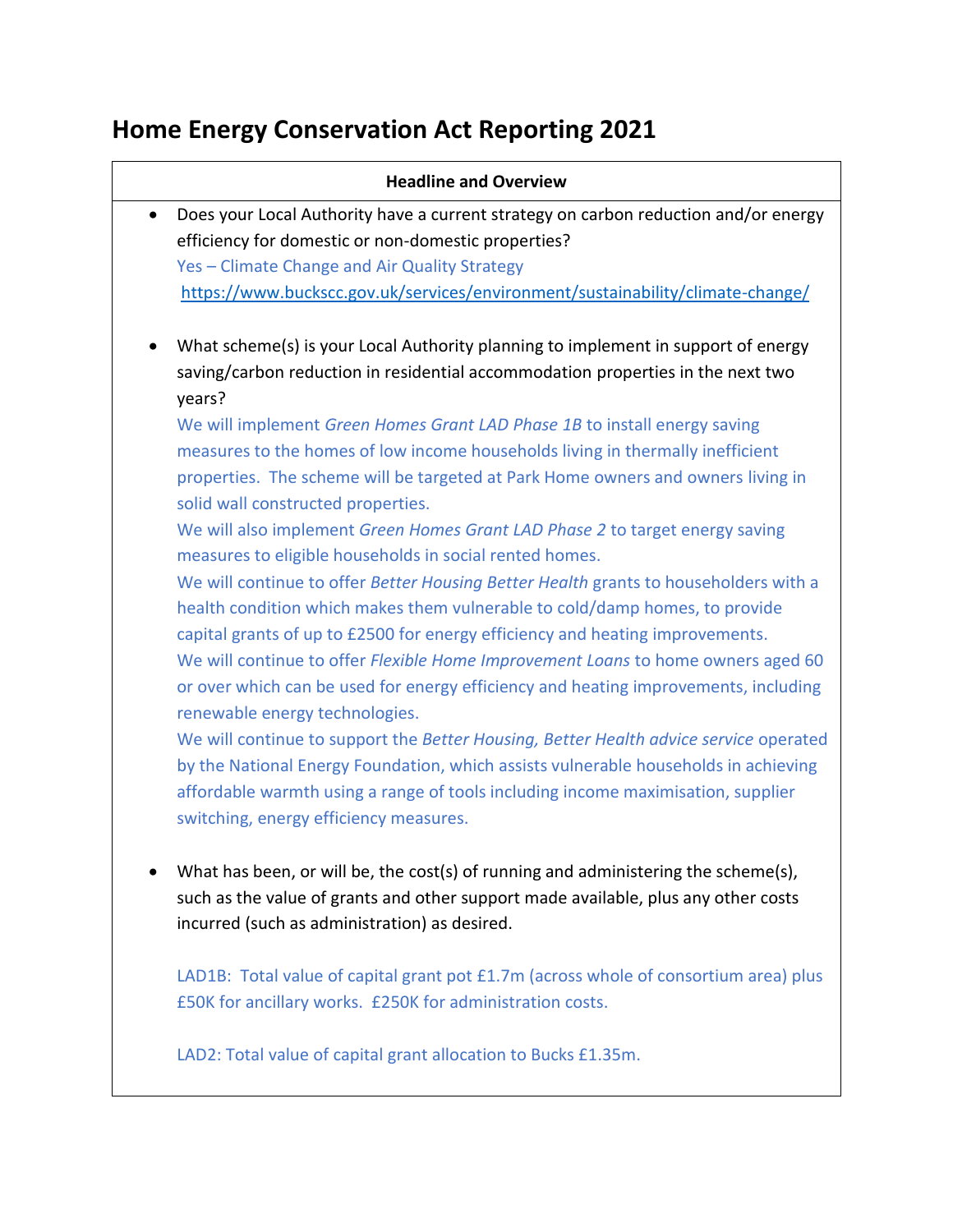# **Home Energy Conservation Act Reporting 2021**

| <b>Headline and Overview</b> |                                                                                       |  |  |
|------------------------------|---------------------------------------------------------------------------------------|--|--|
|                              | Does your Local Authority have a current strategy on carbon reduction and/or energy   |  |  |
|                              | efficiency for domestic or non-domestic properties?                                   |  |  |
|                              | Yes - Climate Change and Air Quality Strategy                                         |  |  |
|                              | https://www.buckscc.gov.uk/services/environment/sustainability/climate-change/        |  |  |
|                              | What scheme(s) is your Local Authority planning to implement in support of energy     |  |  |
|                              | saving/carbon reduction in residential accommodation properties in the next two       |  |  |
|                              | years?                                                                                |  |  |
|                              | We will implement Green Homes Grant LAD Phase 1B to install energy saving             |  |  |
|                              | measures to the homes of low income households living in thermally inefficient        |  |  |
|                              | properties. The scheme will be targeted at Park Home owners and owners living in      |  |  |
|                              | solid wall constructed properties.                                                    |  |  |
|                              | We will also implement Green Homes Grant LAD Phase 2 to target energy saving          |  |  |
|                              | measures to eligible households in social rented homes.                               |  |  |
|                              | We will continue to offer Better Housing Better Health grants to householders with a  |  |  |
|                              | health condition which makes them vulnerable to cold/damp homes, to provide           |  |  |
|                              | capital grants of up to £2500 for energy efficiency and heating improvements.         |  |  |
|                              | We will continue to offer Flexible Home Improvement Loans to home owners aged 60      |  |  |
|                              | or over which can be used for energy efficiency and heating improvements, including   |  |  |
|                              | renewable energy technologies.                                                        |  |  |
|                              | We will continue to support the Better Housing, Better Health advice service operated |  |  |
|                              | by the National Energy Foundation, which assists vulnerable households in achieving   |  |  |
|                              | affordable warmth using a range of tools including income maximisation, supplier      |  |  |
|                              | switching, energy efficiency measures.                                                |  |  |

LAD1B: Total value of capital grant pot £1.7m (across whole of consortium area) plus £50K for ancillary works. £250K for administration costs.

LAD2: Total value of capital grant allocation to Bucks £1.35m.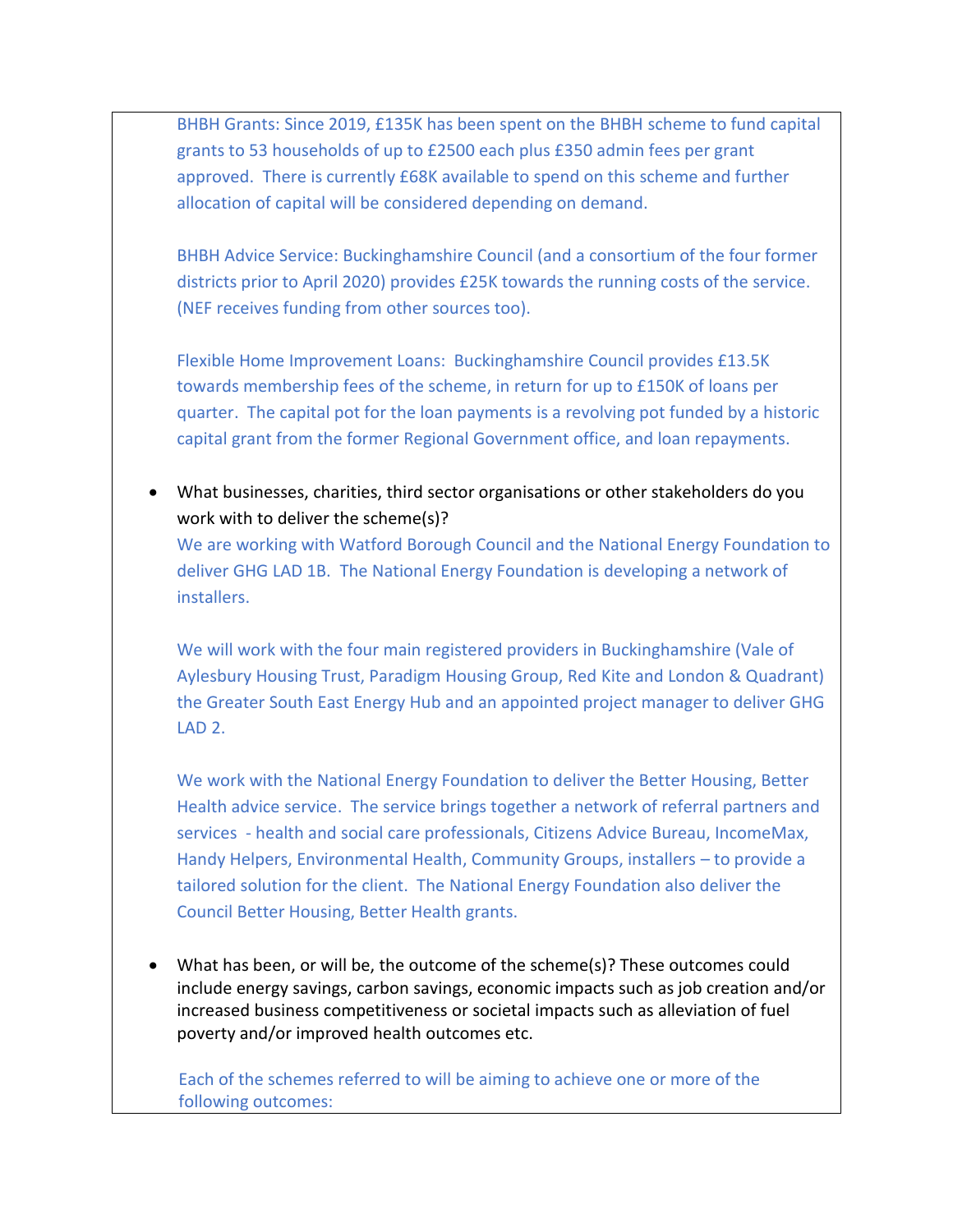BHBH Grants: Since 2019, £135K has been spent on the BHBH scheme to fund capital grants to 53 households of up to £2500 each plus £350 admin fees per grant approved. There is currently £68K available to spend on this scheme and further allocation of capital will be considered depending on demand.

BHBH Advice Service: Buckinghamshire Council (and a consortium of the four former districts prior to April 2020) provides £25K towards the running costs of the service. (NEF receives funding from other sources too).

Flexible Home Improvement Loans: Buckinghamshire Council provides £13.5K towards membership fees of the scheme, in return for up to £150K of loans per quarter. The capital pot for the loan payments is a revolving pot funded by a historic capital grant from the former Regional Government office, and loan repayments.

 What businesses, charities, third sector organisations or other stakeholders do you work with to deliver the scheme(s)?

We are working with Watford Borough Council and the National Energy Foundation to deliver GHG LAD 1B. The National Energy Foundation is developing a network of installers.

We will work with the four main registered providers in Buckinghamshire (Vale of Aylesbury Housing Trust, Paradigm Housing Group, Red Kite and London & Quadrant) the Greater South East Energy Hub and an appointed project manager to deliver GHG LAD<sub>2</sub>.

We work with the National Energy Foundation to deliver the Better Housing, Better Health advice service. The service brings together a network of referral partners and services - health and social care professionals, Citizens Advice Bureau, IncomeMax, Handy Helpers, Environmental Health, Community Groups, installers – to provide a tailored solution for the client. The National Energy Foundation also deliver the Council Better Housing, Better Health grants.

 What has been, or will be, the outcome of the scheme(s)? These outcomes could include energy savings, carbon savings, economic impacts such as job creation and/or increased business competitiveness or societal impacts such as alleviation of fuel poverty and/or improved health outcomes etc.

Each of the schemes referred to will be aiming to achieve one or more of the following outcomes: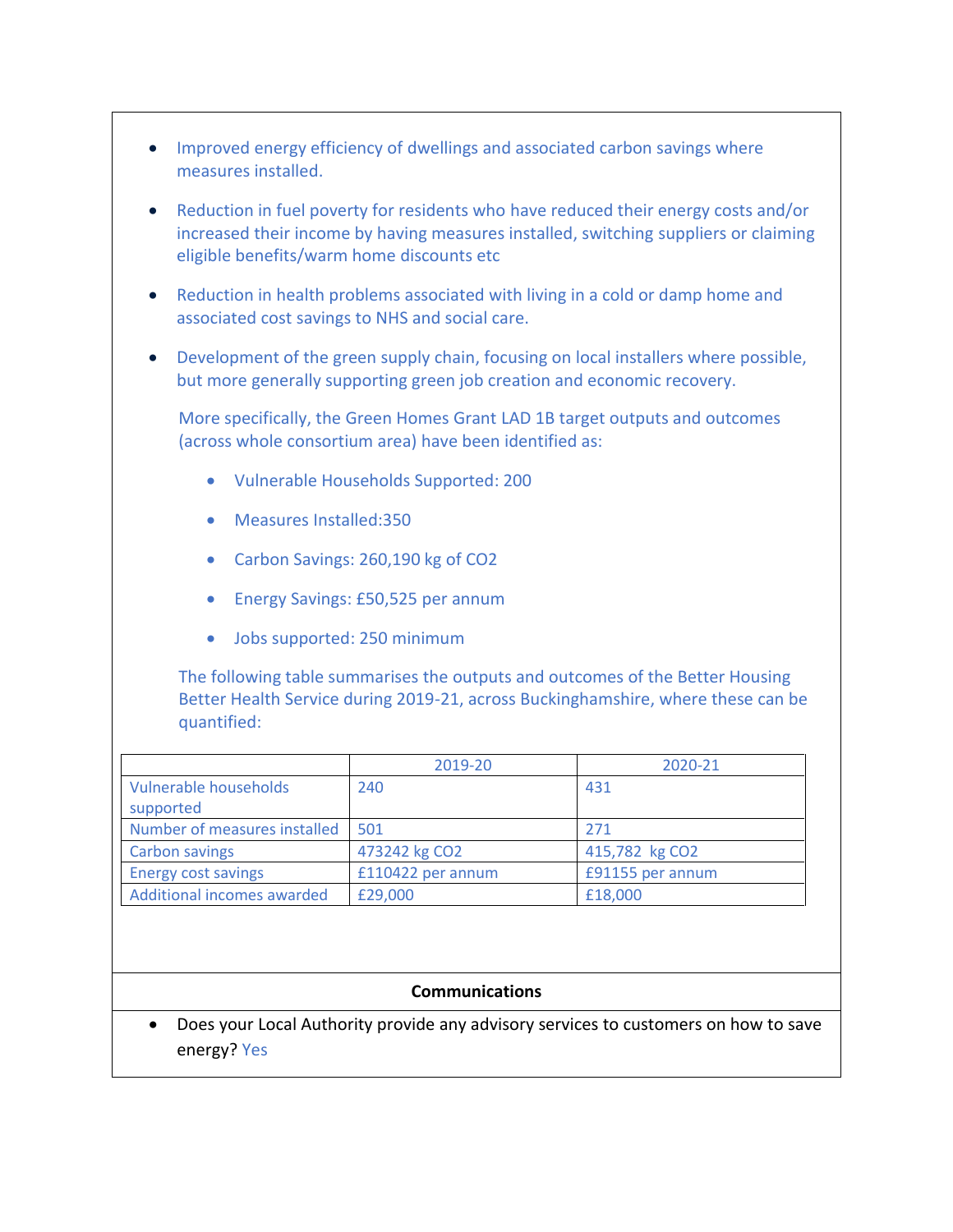- Improved energy efficiency of dwellings and associated carbon savings where measures installed.
- Reduction in fuel poverty for residents who have reduced their energy costs and/or increased their income by having measures installed, switching suppliers or claiming eligible benefits/warm home discounts etc
- Reduction in health problems associated with living in a cold or damp home and associated cost savings to NHS and social care.
- Development of the green supply chain, focusing on local installers where possible, but more generally supporting green job creation and economic recovery.

More specifically, the Green Homes Grant LAD 1B target outputs and outcomes (across whole consortium area) have been identified as:

- Vulnerable Households Supported: 200
- Measures Installed:350
- Carbon Savings: 260,190 kg of CO2
- Energy Savings: £50,525 per annum
- Jobs supported: 250 minimum

The following table summarises the outputs and outcomes of the Better Housing Better Health Service during 2019-21, across Buckinghamshire, where these can be quantified:

|                                    | 2019-20           | 2020-21          |
|------------------------------------|-------------------|------------------|
| Vulnerable households<br>supported | 240               | 431              |
| Number of measures installed       | 501               | 271              |
| <b>Carbon savings</b>              | 473242 kg CO2     | 415,782 kg CO2   |
| <b>Energy cost savings</b>         | £110422 per annum | £91155 per annum |
| Additional incomes awarded         | £29,000           | £18,000          |

# **Communications**

 Does your Local Authority provide any advisory services to customers on how to save energy? Yes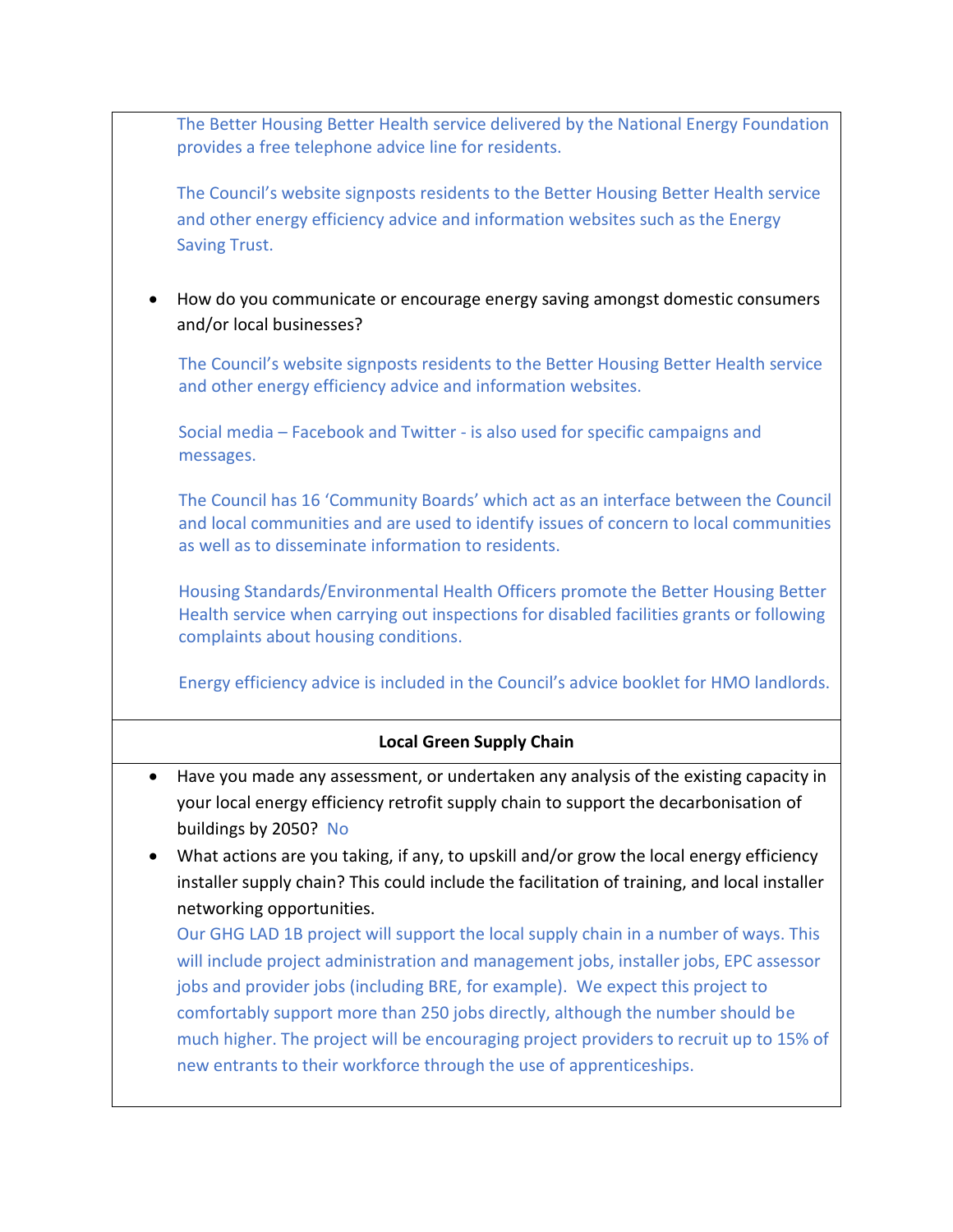The Better Housing Better Health service delivered by the National Energy Foundation provides a free telephone advice line for residents.

The Council's website signposts residents to the Better Housing Better Health service and other energy efficiency advice and information websites such as the Energy Saving Trust.

 How do you communicate or encourage energy saving amongst domestic consumers and/or local businesses?

The Council's website signposts residents to the Better Housing Better Health service and other energy efficiency advice and information websites.

Social media – Facebook and Twitter - is also used for specific campaigns and messages.

The Council has 16 'Community Boards' which act as an interface between the Council and local communities and are used to identify issues of concern to local communities as well as to disseminate information to residents.

Housing Standards/Environmental Health Officers promote the Better Housing Better Health service when carrying out inspections for disabled facilities grants or following complaints about housing conditions.

Energy efficiency advice is included in the Council's advice booklet for HMO landlords.

# **Local Green Supply Chain**

- Have you made any assessment, or undertaken any analysis of the existing capacity in your local energy efficiency retrofit supply chain to support the decarbonisation of buildings by 2050? No
- What actions are you taking, if any, to upskill and/or grow the local energy efficiency installer supply chain? This could include the facilitation of training, and local installer networking opportunities.

Our GHG LAD 1B project will support the local supply chain in a number of ways. This will include project administration and management jobs, installer jobs, EPC assessor jobs and provider jobs (including BRE, for example). We expect this project to comfortably support more than 250 jobs directly, although the number should be much higher. The project will be encouraging project providers to recruit up to 15% of new entrants to their workforce through the use of apprenticeships.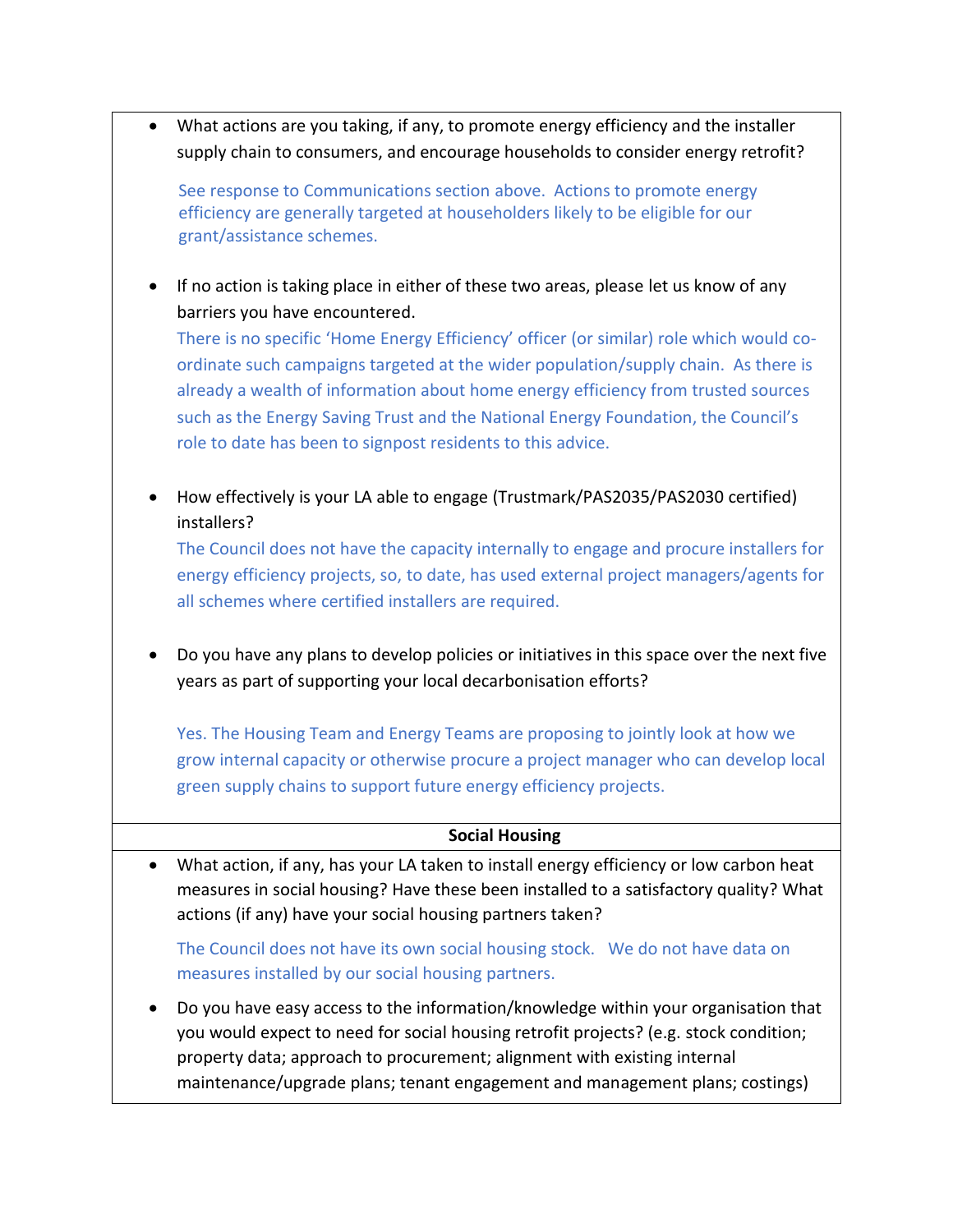What actions are you taking, if any, to promote energy efficiency and the installer supply chain to consumers, and encourage households to consider energy retrofit?

See response to Communications section above. Actions to promote energy efficiency are generally targeted at householders likely to be eligible for our grant/assistance schemes.

• If no action is taking place in either of these two areas, please let us know of any barriers you have encountered.

There is no specific 'Home Energy Efficiency' officer (or similar) role which would coordinate such campaigns targeted at the wider population/supply chain. As there is already a wealth of information about home energy efficiency from trusted sources such as the Energy Saving Trust and the National Energy Foundation, the Council's role to date has been to signpost residents to this advice.

• How effectively is your LA able to engage (Trustmark/PAS2035/PAS2030 certified) installers?

The Council does not have the capacity internally to engage and procure installers for energy efficiency projects, so, to date, has used external project managers/agents for all schemes where certified installers are required.

 Do you have any plans to develop policies or initiatives in this space over the next five years as part of supporting your local decarbonisation efforts?

Yes. The Housing Team and Energy Teams are proposing to jointly look at how we grow internal capacity or otherwise procure a project manager who can develop local green supply chains to support future energy efficiency projects.

## **Social Housing**

 What action, if any, has your LA taken to install energy efficiency or low carbon heat measures in social housing? Have these been installed to a satisfactory quality? What actions (if any) have your social housing partners taken?

The Council does not have its own social housing stock. We do not have data on measures installed by our social housing partners.

 Do you have easy access to the information/knowledge within your organisation that you would expect to need for social housing retrofit projects? (e.g. stock condition; property data; approach to procurement; alignment with existing internal maintenance/upgrade plans; tenant engagement and management plans; costings)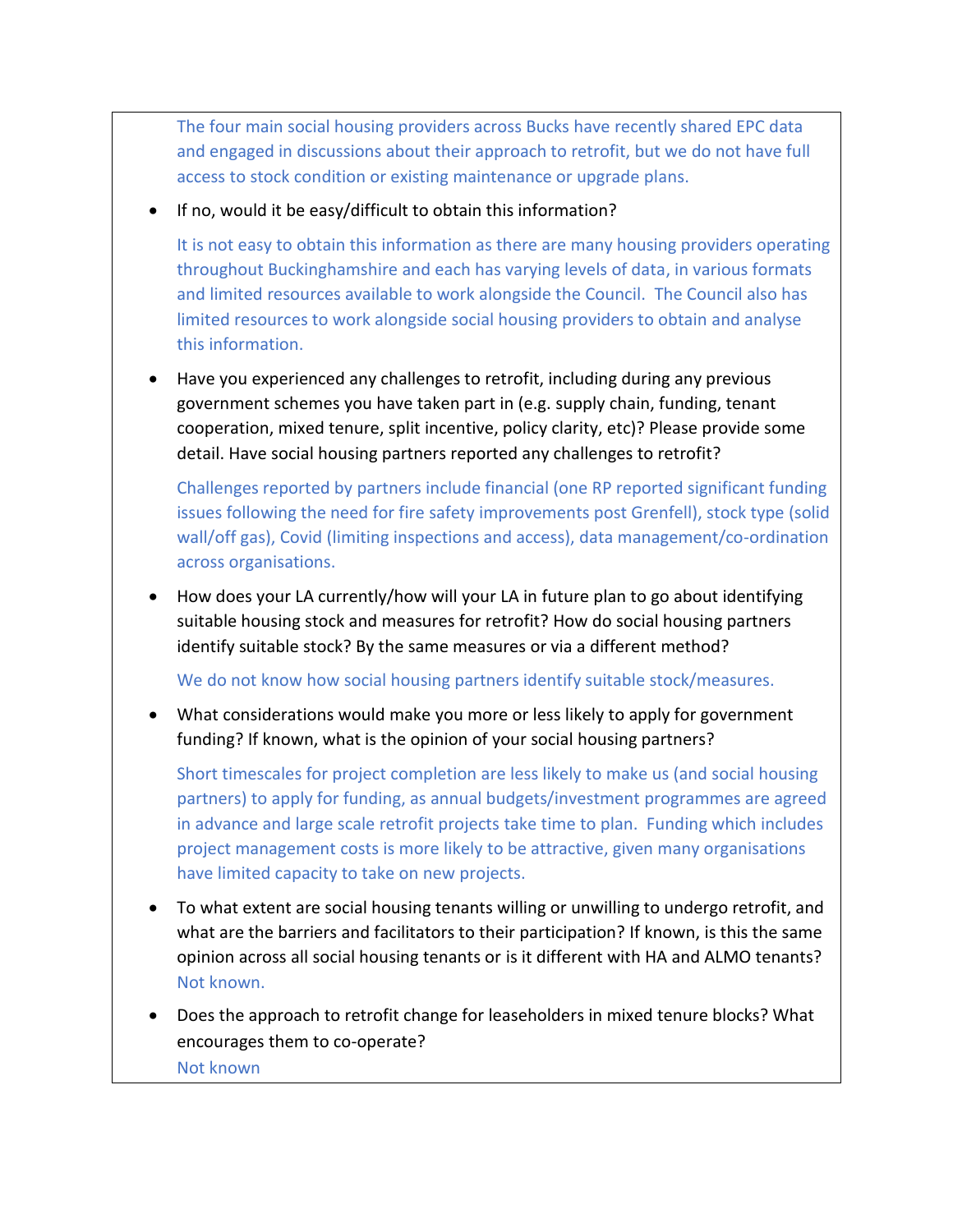The four main social housing providers across Bucks have recently shared EPC data and engaged in discussions about their approach to retrofit, but we do not have full access to stock condition or existing maintenance or upgrade plans.

• If no, would it be easy/difficult to obtain this information?

It is not easy to obtain this information as there are many housing providers operating throughout Buckinghamshire and each has varying levels of data, in various formats and limited resources available to work alongside the Council. The Council also has limited resources to work alongside social housing providers to obtain and analyse this information.

 Have you experienced any challenges to retrofit, including during any previous government schemes you have taken part in (e.g. supply chain, funding, tenant cooperation, mixed tenure, split incentive, policy clarity, etc)? Please provide some detail. Have social housing partners reported any challenges to retrofit?

Challenges reported by partners include financial (one RP reported significant funding issues following the need for fire safety improvements post Grenfell), stock type (solid wall/off gas), Covid (limiting inspections and access), data management/co-ordination across organisations.

 How does your LA currently/how will your LA in future plan to go about identifying suitable housing stock and measures for retrofit? How do social housing partners identify suitable stock? By the same measures or via a different method?

We do not know how social housing partners identify suitable stock/measures.

 What considerations would make you more or less likely to apply for government funding? If known, what is the opinion of your social housing partners?

Short timescales for project completion are less likely to make us (and social housing partners) to apply for funding, as annual budgets/investment programmes are agreed in advance and large scale retrofit projects take time to plan. Funding which includes project management costs is more likely to be attractive, given many organisations have limited capacity to take on new projects.

- To what extent are social housing tenants willing or unwilling to undergo retrofit, and what are the barriers and facilitators to their participation? If known, is this the same opinion across all social housing tenants or is it different with HA and ALMO tenants? Not known.
- Does the approach to retrofit change for leaseholders in mixed tenure blocks? What encourages them to co-operate? Not known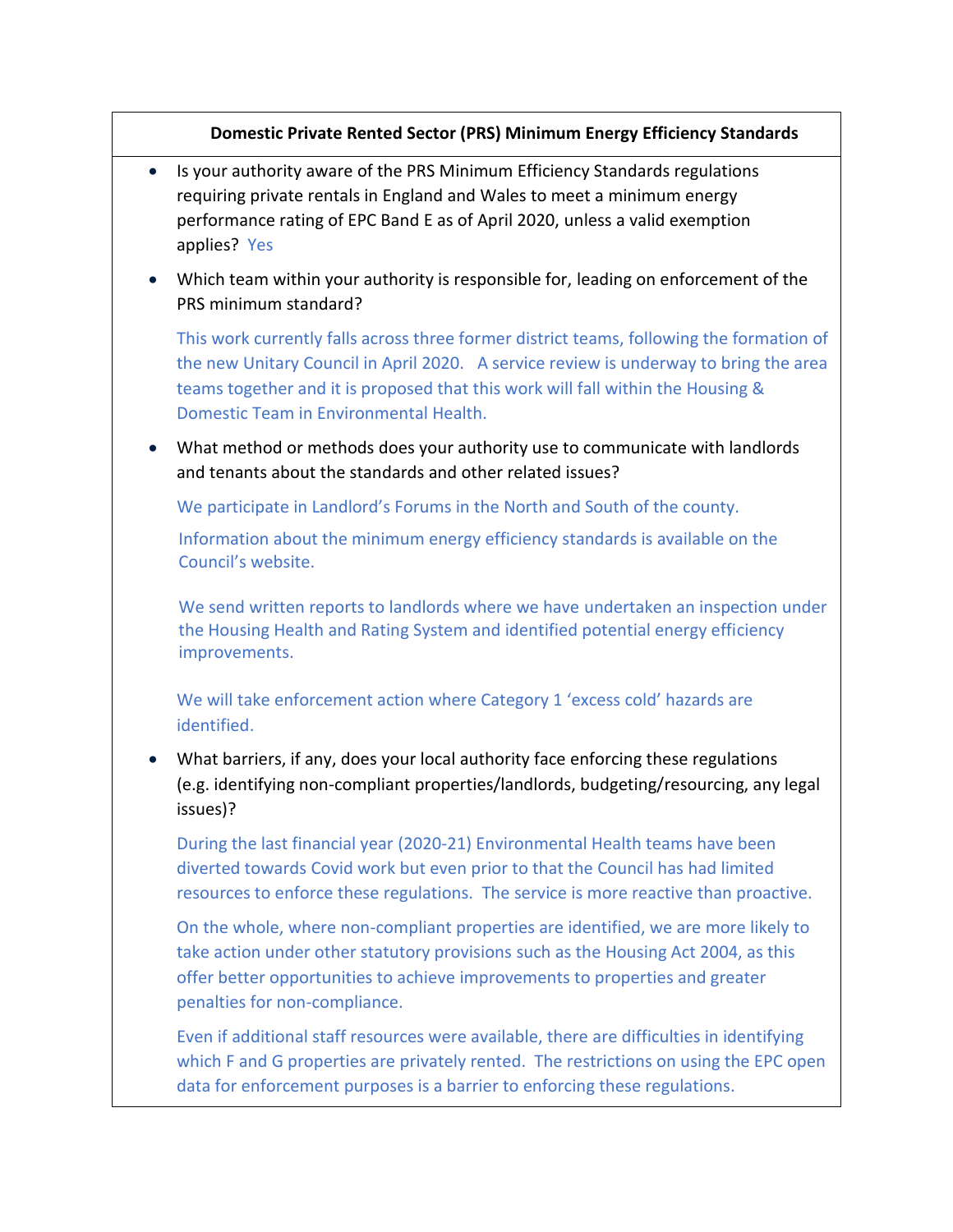# **Domestic Private Rented Sector (PRS) Minimum Energy Efficiency Standards**

- Is your authority aware of the PRS Minimum Efficiency Standards regulations requiring private rentals in England and Wales to meet a minimum energy performance rating of EPC Band E as of April 2020, unless a valid exemption applies? Yes
- Which team within your authority is responsible for, leading on enforcement of the PRS minimum standard?

This work currently falls across three former district teams, following the formation of the new Unitary Council in April 2020. A service review is underway to bring the area teams together and it is proposed that this work will fall within the Housing & Domestic Team in Environmental Health.

 What method or methods does your authority use to communicate with landlords and tenants about the standards and other related issues?

We participate in Landlord's Forums in the North and South of the county.

Information about the minimum energy efficiency standards is available on the Council's website.

We send written reports to landlords where we have undertaken an inspection under the Housing Health and Rating System and identified potential energy efficiency improvements.

We will take enforcement action where Category 1 'excess cold' hazards are identified.

 What barriers, if any, does your local authority face enforcing these regulations (e.g. identifying non-compliant properties/landlords, budgeting/resourcing, any legal issues)?

During the last financial year (2020-21) Environmental Health teams have been diverted towards Covid work but even prior to that the Council has had limited resources to enforce these regulations. The service is more reactive than proactive.

On the whole, where non-compliant properties are identified, we are more likely to take action under other statutory provisions such as the Housing Act 2004, as this offer better opportunities to achieve improvements to properties and greater penalties for non-compliance.

Even if additional staff resources were available, there are difficulties in identifying which F and G properties are privately rented. The restrictions on using the EPC open data for enforcement purposes is a barrier to enforcing these regulations.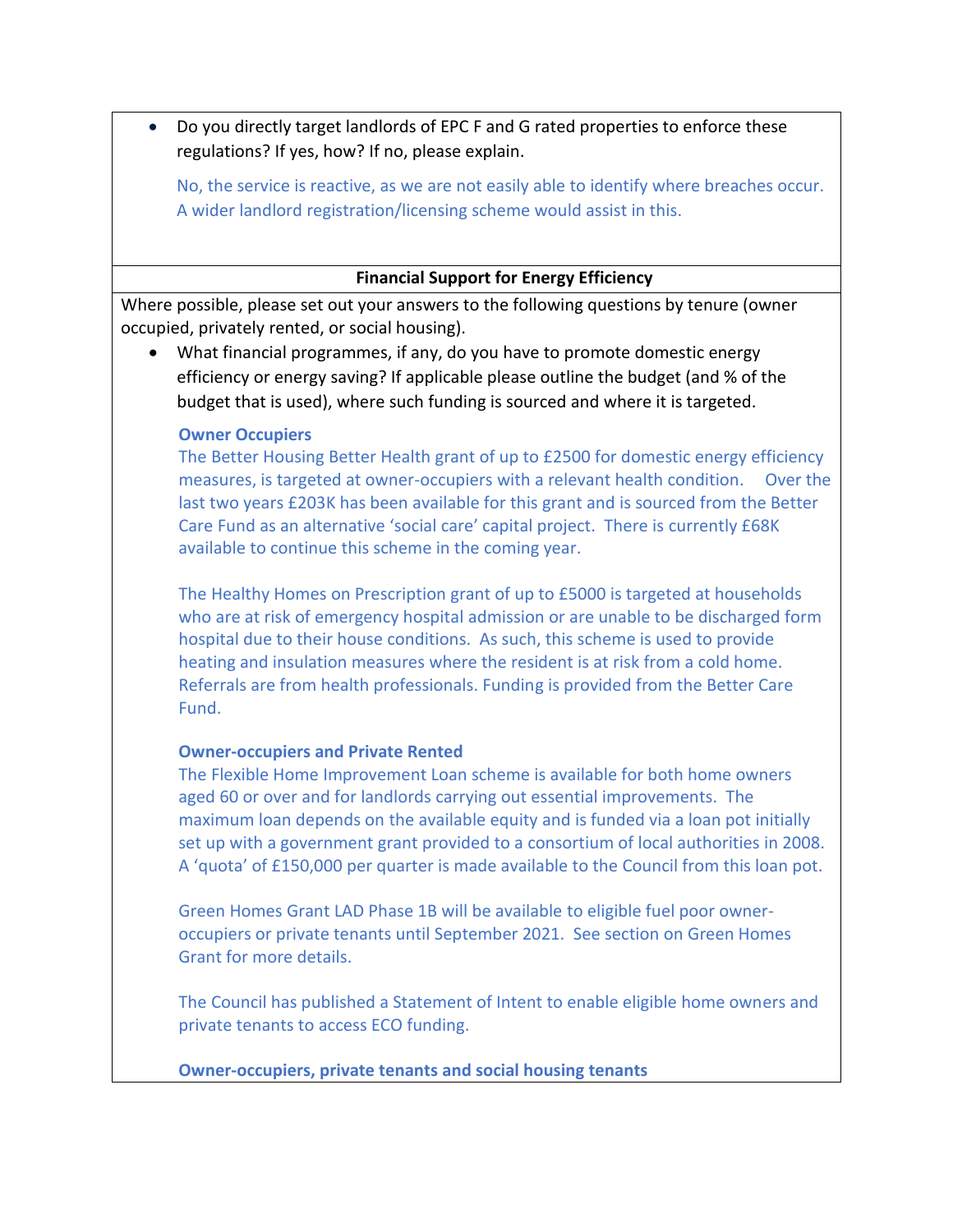Do you directly target landlords of EPC F and G rated properties to enforce these regulations? If yes, how? If no, please explain.

No, the service is reactive, as we are not easily able to identify where breaches occur. A wider landlord registration/licensing scheme would assist in this.

### **Financial Support for Energy Efficiency**

Where possible, please set out your answers to the following questions by tenure (owner occupied, privately rented, or social housing).

 What financial programmes, if any, do you have to promote domestic energy efficiency or energy saving? If applicable please outline the budget (and % of the budget that is used), where such funding is sourced and where it is targeted.

#### **Owner Occupiers**

The Better Housing Better Health grant of up to £2500 for domestic energy efficiency measures, is targeted at owner-occupiers with a relevant health condition. Over the last two years £203K has been available for this grant and is sourced from the Better Care Fund as an alternative 'social care' capital project. There is currently £68K available to continue this scheme in the coming year.

The Healthy Homes on Prescription grant of up to £5000 is targeted at households who are at risk of emergency hospital admission or are unable to be discharged form hospital due to their house conditions. As such, this scheme is used to provide heating and insulation measures where the resident is at risk from a cold home. Referrals are from health professionals. Funding is provided from the Better Care Fund.

#### **Owner-occupiers and Private Rented**

The Flexible Home Improvement Loan scheme is available for both home owners aged 60 or over and for landlords carrying out essential improvements. The maximum loan depends on the available equity and is funded via a loan pot initially set up with a government grant provided to a consortium of local authorities in 2008. A 'quota' of £150,000 per quarter is made available to the Council from this loan pot.

Green Homes Grant LAD Phase 1B will be available to eligible fuel poor owneroccupiers or private tenants until September 2021. See section on Green Homes Grant for more details.

The Council has published a Statement of Intent to enable eligible home owners and private tenants to access ECO funding.

**Owner-occupiers, private tenants and social housing tenants**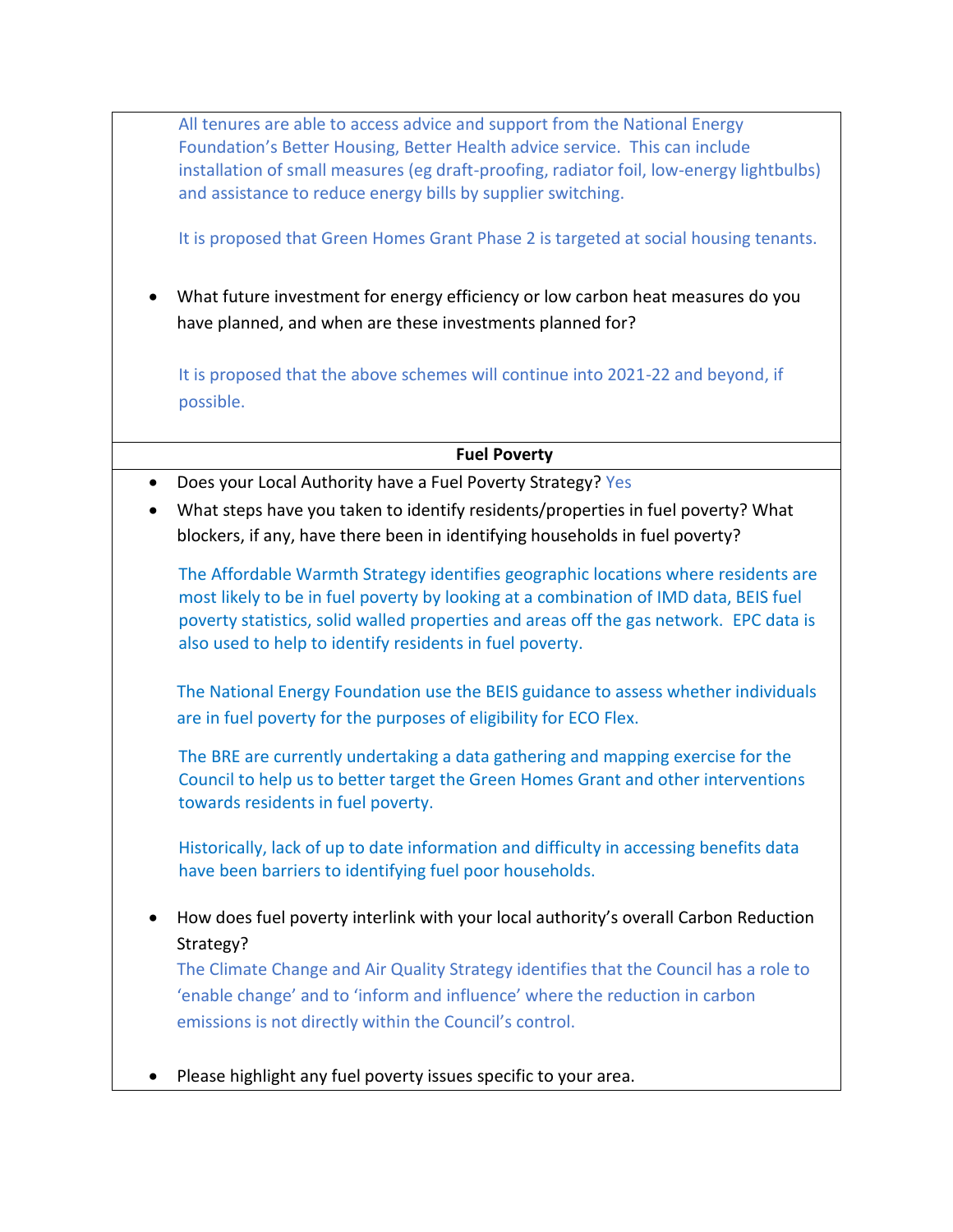All tenures are able to access advice and support from the National Energy Foundation's Better Housing, Better Health advice service. This can include installation of small measures (eg draft-proofing, radiator foil, low-energy lightbulbs) and assistance to reduce energy bills by supplier switching.

It is proposed that Green Homes Grant Phase 2 is targeted at social housing tenants.

 What future investment for energy efficiency or low carbon heat measures do you have planned, and when are these investments planned for?

It is proposed that the above schemes will continue into 2021-22 and beyond, if possible.

## **Fuel Poverty**

- Does your Local Authority have a Fuel Poverty Strategy? Yes
- What steps have you taken to identify residents/properties in fuel poverty? What blockers, if any, have there been in identifying households in fuel poverty?

The Affordable Warmth Strategy identifies geographic locations where residents are most likely to be in fuel poverty by looking at a combination of IMD data, BEIS fuel poverty statistics, solid walled properties and areas off the gas network. EPC data is also used to help to identify residents in fuel poverty.

The National Energy Foundation use the BEIS guidance to assess whether individuals are in fuel poverty for the purposes of eligibility for ECO Flex.

The BRE are currently undertaking a data gathering and mapping exercise for the Council to help us to better target the Green Homes Grant and other interventions towards residents in fuel poverty.

Historically, lack of up to date information and difficulty in accessing benefits data have been barriers to identifying fuel poor households.

 How does fuel poverty interlink with your local authority's overall Carbon Reduction Strategy?

The Climate Change and Air Quality Strategy identifies that the Council has a role to 'enable change' and to 'inform and influence' where the reduction in carbon emissions is not directly within the Council's control.

Please highlight any fuel poverty issues specific to your area.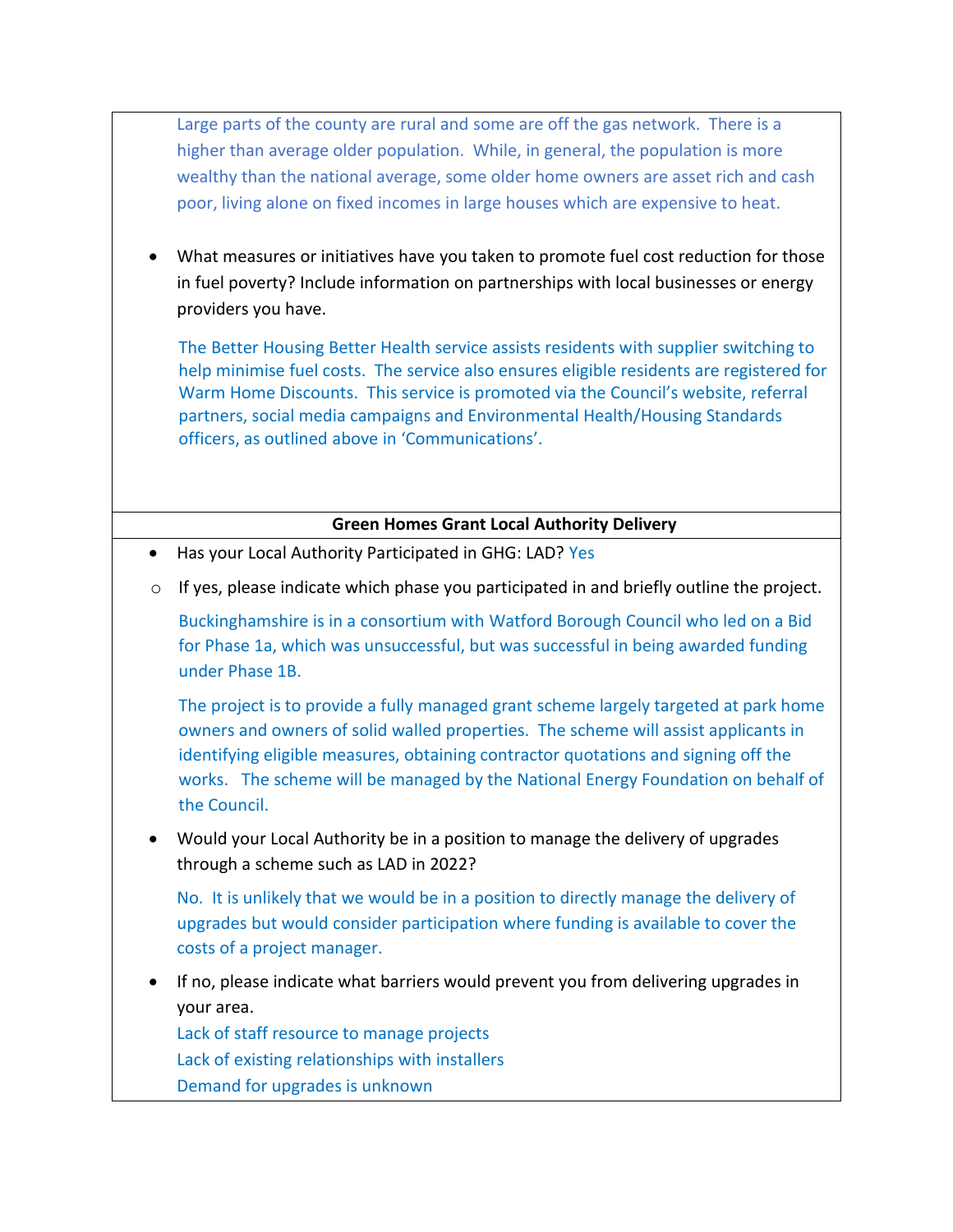Large parts of the county are rural and some are off the gas network. There is a higher than average older population. While, in general, the population is more wealthy than the national average, some older home owners are asset rich and cash poor, living alone on fixed incomes in large houses which are expensive to heat.

 What measures or initiatives have you taken to promote fuel cost reduction for those in fuel poverty? Include information on partnerships with local businesses or energy providers you have.

The Better Housing Better Health service assists residents with supplier switching to help minimise fuel costs. The service also ensures eligible residents are registered for Warm Home Discounts. This service is promoted via the Council's website, referral partners, social media campaigns and Environmental Health/Housing Standards officers, as outlined above in 'Communications'.

## **Green Homes Grant Local Authority Delivery**

- Has your Local Authority Participated in GHG: LAD? Yes
- $\circ$  If yes, please indicate which phase you participated in and briefly outline the project.

Buckinghamshire is in a consortium with Watford Borough Council who led on a Bid for Phase 1a, which was unsuccessful, but was successful in being awarded funding under Phase 1B.

The project is to provide a fully managed grant scheme largely targeted at park home owners and owners of solid walled properties. The scheme will assist applicants in identifying eligible measures, obtaining contractor quotations and signing off the works. The scheme will be managed by the National Energy Foundation on behalf of the Council.

 Would your Local Authority be in a position to manage the delivery of upgrades through a scheme such as LAD in 2022?

No. It is unlikely that we would be in a position to directly manage the delivery of upgrades but would consider participation where funding is available to cover the costs of a project manager.

 If no, please indicate what barriers would prevent you from delivering upgrades in your area.

Lack of staff resource to manage projects Lack of existing relationships with installers Demand for upgrades is unknown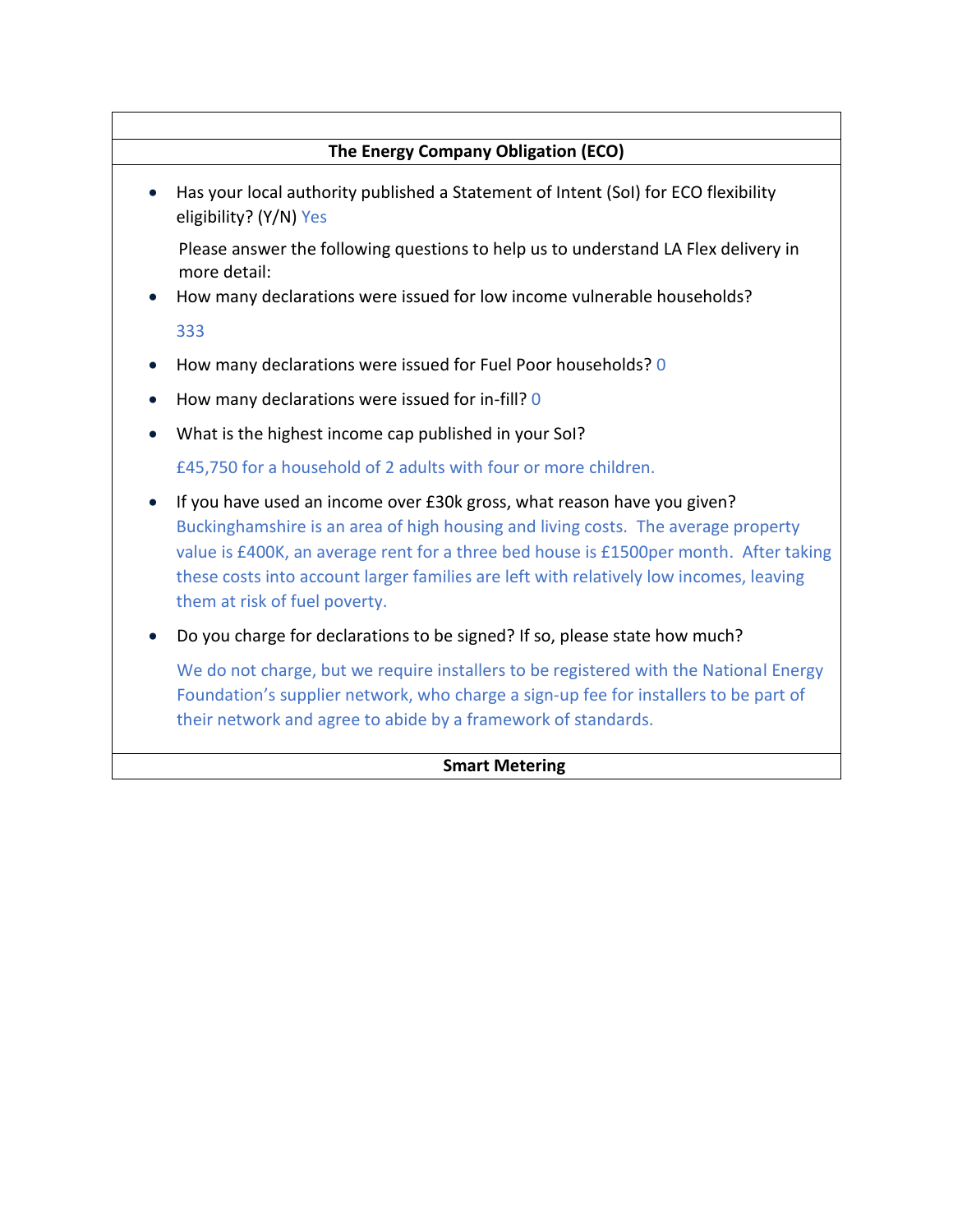# **The Energy Company Obligation (ECO)**

 Has your local authority published a Statement of Intent (SoI) for ECO flexibility eligibility? (Y/N) Yes

Please answer the following questions to help us to understand LA Flex delivery in more detail:

How many declarations were issued for low income vulnerable households?

333

- How many declarations were issued for Fuel Poor households? 0
- How many declarations were issued for in-fill? 0
- What is the highest income cap published in your SoI?

£45,750 for a household of 2 adults with four or more children.

- If you have used an income over £30k gross, what reason have you given? Buckinghamshire is an area of high housing and living costs. The average property value is £400K, an average rent for a three bed house is £1500per month. After taking these costs into account larger families are left with relatively low incomes, leaving them at risk of fuel poverty.
- Do you charge for declarations to be signed? If so, please state how much?

We do not charge, but we require installers to be registered with the National Energy Foundation's supplier network, who charge a sign-up fee for installers to be part of their network and agree to abide by a framework of standards.

## **Smart Metering**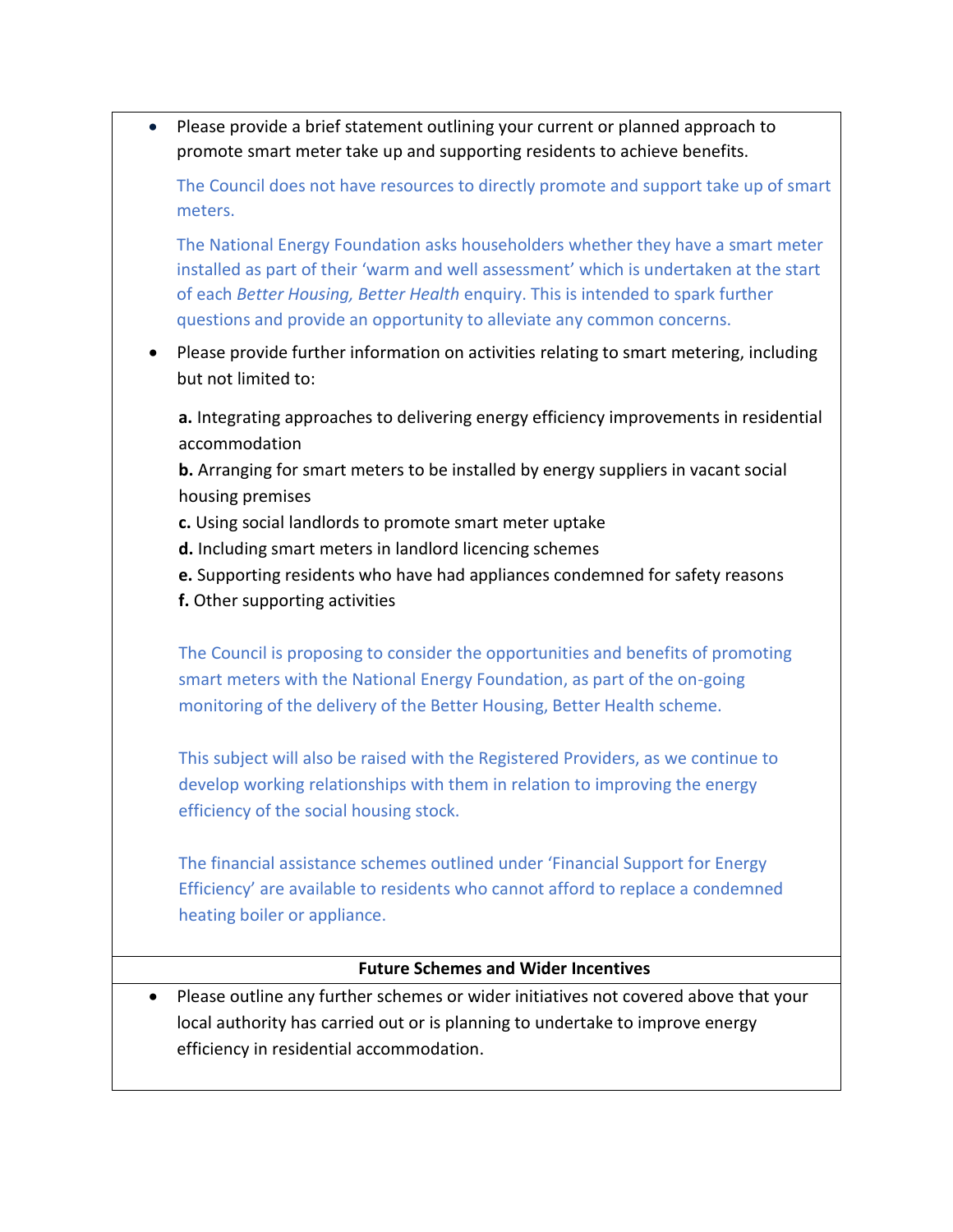Please provide a brief statement outlining your current or planned approach to promote smart meter take up and supporting residents to achieve benefits.

The Council does not have resources to directly promote and support take up of smart meters.

The National Energy Foundation asks householders whether they have a smart meter installed as part of their 'warm and well assessment' which is undertaken at the start of each *Better Housing, Better Health* enquiry. This is intended to spark further questions and provide an opportunity to alleviate any common concerns.

• Please provide further information on activities relating to smart metering, including but not limited to:

**a.** Integrating approaches to delivering energy efficiency improvements in residential accommodation

**b.** Arranging for smart meters to be installed by energy suppliers in vacant social housing premises

- **c.** Using social landlords to promote smart meter uptake
- **d.** Including smart meters in landlord licencing schemes
- **e.** Supporting residents who have had appliances condemned for safety reasons
- **f.** Other supporting activities

The Council is proposing to consider the opportunities and benefits of promoting smart meters with the National Energy Foundation, as part of the on-going monitoring of the delivery of the Better Housing, Better Health scheme.

This subject will also be raised with the Registered Providers, as we continue to develop working relationships with them in relation to improving the energy efficiency of the social housing stock.

The financial assistance schemes outlined under 'Financial Support for Energy Efficiency' are available to residents who cannot afford to replace a condemned heating boiler or appliance.

# **Future Schemes and Wider Incentives**

 Please outline any further schemes or wider initiatives not covered above that your local authority has carried out or is planning to undertake to improve energy efficiency in residential accommodation.